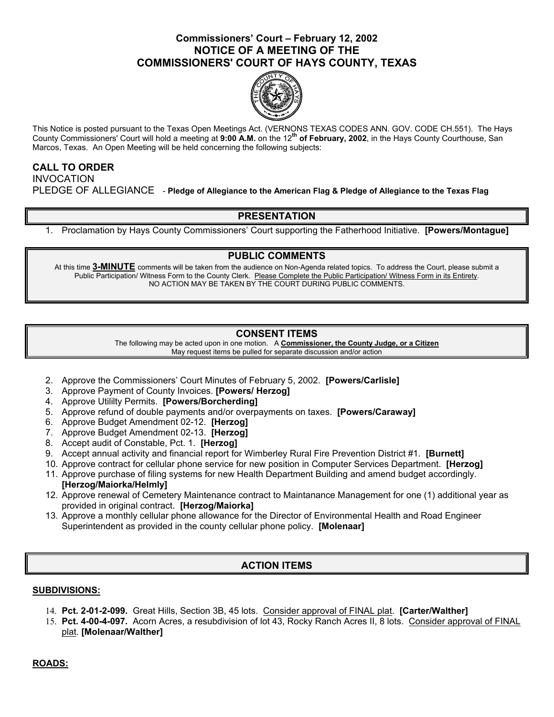# **Commissioners' Court – February 12, 2002 NOTICE OF A MEETING OF THE COMMISSIONERS' COURT OF HAYS COUNTY, TEXAS**



This Notice is posted pursuant to the Texas Open Meetings Act. (VERNONS TEXAS CODES ANN. GOV. CODE CH.551). The Hays County Commissioners' Court will hold a meeting at **9:00 A.M.** on the 12**th of February, 2002**, in the Hays County Courthouse, San Marcos, Texas. An Open Meeting will be held concerning the following subjects:

## **CALL TO ORDER**

INVOCATION PLEDGE OF ALLEGIANCE - **Pledge of Allegiance to the American Flag & Pledge of Allegiance to the Texas Flag** 

## **PRESENTATION**

1. Proclamation by Hays County Commissioners' Court supporting the Fatherhood Initiative. **[Powers/Montague]** 

### **PUBLIC COMMENTS**

At this time **3-MINUTE** comments will be taken from the audience on Non-Agenda related topics. To address the Court, please submit a Public Participation/ Witness Form to the County Clerk. Please Complete the Public Participation/ Witness Form in its Entirety. NO ACTION MAY BE TAKEN BY THE COURT DURING PUBLIC COMMENTS.

## **CONSENT ITEMS**

The following may be acted upon in one motion. A **Commissioner, the County Judge, or a Citizen** May request items be pulled for separate discussion and/or action

- 2. Approve the Commissioners' Court Minutes of February 5, 2002. **[Powers/Carlisle]**
- 3. Approve Payment of County Invoices. **[Powers/ Herzog]**
- 4. Approve Utililty Permits. **[Powers/Borcherding]**
- 5. Approve refund of double payments and/or overpayments on taxes. **[Powers/Caraway]**
- 6. Approve Budget Amendment 02-12. **[Herzog]**
- 7. Approve Budget Amendment 02-13. **[Herzog]**
- 8. Accept audit of Constable, Pct. 1. **[Herzog]**
- 9. Accept annual activity and financial report for Wimberley Rural Fire Prevention District #1. **[Burnett]**
- 10. Approve contract for cellular phone service for new position in Computer Services Department. **[Herzog]**
- 11. Approve purchase of filing systems for new Health Department Building and amend budget accordingly. **[Herzog/Maiorka/Helmly]**
- 12. Approve renewal of Cemetery Maintenance contract to Maintanance Management for one (1) additional year as provided in original contract. **[Herzog/Maiorka]**
- 13. Approve a monthly cellular phone allowance for the Director of Environmental Health and Road Engineer Superintendent as provided in the county cellular phone policy. **[Molenaar]**

# **ACTION ITEMS**

### **SUBDIVISIONS:**

- 14. **Pct. 2-01-2-099.** Great Hills, Section 3B, 45 lots. Consider approval of FINAL plat. **[Carter/Walther]**
- 15. **Pct. 4-00-4-097.** Acorn Acres, a resubdivision of lot 43, Rocky Ranch Acres II, 8 lots. Consider approval of FINAL plat. **[Molenaar/Walther]**

### **ROADS:**